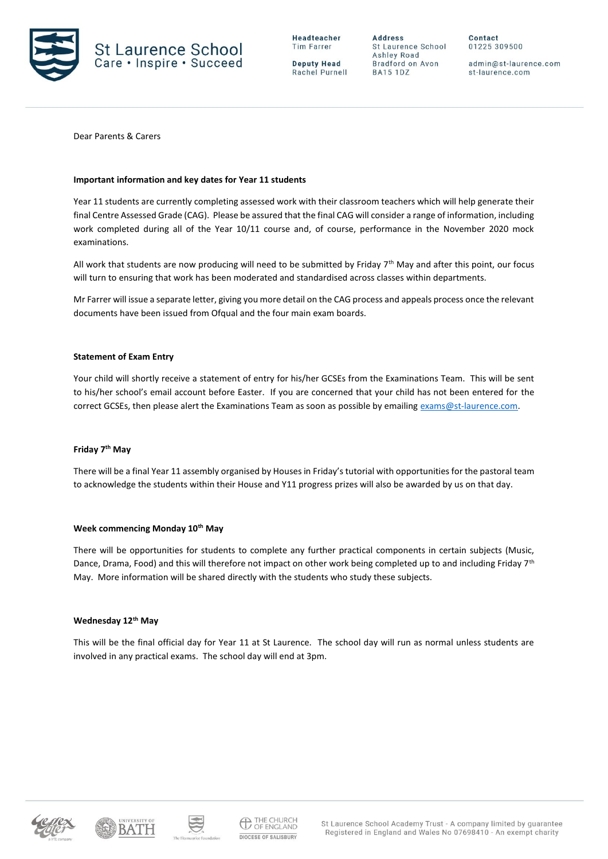

**Deputy Head** Rachel Purnell

**Address** St Laurence School Ashley Road Bradford on Avon **BA15 1DZ** 

Contact 01225 309500

admin@st-laurence.com st-laurence.com

Dear Parents & Carers

### **Important information and key dates for Year 11 students**

Year 11 students are currently completing assessed work with their classroom teachers which will help generate their final Centre Assessed Grade (CAG). Please be assured that the final CAG will consider a range of information, including work completed during all of the Year 10/11 course and, of course, performance in the November 2020 mock examinations.

All work that students are now producing will need to be submitted by Friday 7th May and after this point, our focus will turn to ensuring that work has been moderated and standardised across classes within departments.

Mr Farrer will issue a separate letter, giving you more detail on the CAG process and appeals process once the relevant documents have been issued from Ofqual and the four main exam boards.

### **Statement of Exam Entry**

Your child will shortly receive a statement of entry for his/her GCSEs from the Examinations Team. This will be sent to his/her school's email account before Easter. If you are concerned that your child has not been entered for the correct GCSEs, then please alert the Examinations Team as soon as possible by emailin[g exams@st-laurence.com.](mailto:exams@st-laurence.com)

# **Friday 7th May**

There will be a final Year 11 assembly organised by Houses in Friday's tutorial with opportunities for the pastoral team to acknowledge the students within their House and Y11 progress prizes will also be awarded by us on that day.

### **Week commencing Monday 10th May**

There will be opportunities for students to complete any further practical components in certain subjects (Music, Dance, Drama, Food) and this will therefore not impact on other work being completed up to and including Friday 7<sup>th</sup> May. More information will be shared directly with the students who study these subjects.

### **Wednesday 12th May**

This will be the final official day for Year 11 at St Laurence. The school day will run as normal unless students are involved in any practical exams. The school day will end at 3pm.





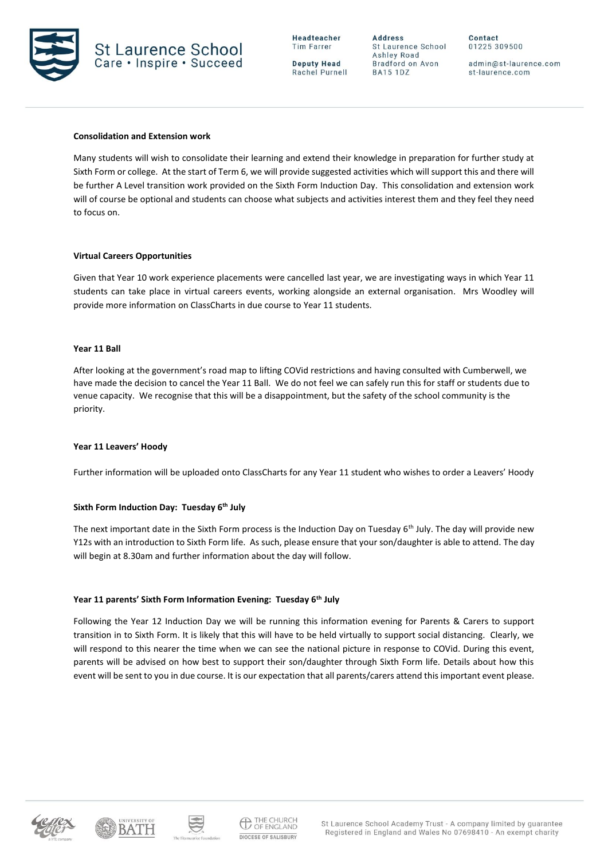

**Deputy Head** Rachel Purnell

**Address** St Laurence School Ashley Road Bradford on Avon **BA15 1DZ** 

Contact 01225 309500

admin@st-laurence.com st-laurence.com

### **Consolidation and Extension work**

Many students will wish to consolidate their learning and extend their knowledge in preparation for further study at Sixth Form or college. At the start of Term 6, we will provide suggested activities which will support this and there will be further A Level transition work provided on the Sixth Form Induction Day. This consolidation and extension work will of course be optional and students can choose what subjects and activities interest them and they feel they need to focus on.

### **Virtual Careers Opportunities**

Given that Year 10 work experience placements were cancelled last year, we are investigating ways in which Year 11 students can take place in virtual careers events, working alongside an external organisation. Mrs Woodley will provide more information on ClassCharts in due course to Year 11 students.

### **Year 11 Ball**

After looking at the government's road map to lifting COVid restrictions and having consulted with Cumberwell, we have made the decision to cancel the Year 11 Ball. We do not feel we can safely run this for staff or students due to venue capacity. We recognise that this will be a disappointment, but the safety of the school community is the priority.

### **Year 11 Leavers' Hoody**

Further information will be uploaded onto ClassCharts for any Year 11 student who wishes to order a Leavers' Hoody

### **Sixth Form Induction Day: Tuesday 6th July**

The next important date in the Sixth Form process is the Induction Day on Tuesday 6<sup>th</sup> July. The day will provide new Y12s with an introduction to Sixth Form life. As such, please ensure that your son/daughter is able to attend. The day will begin at 8.30am and further information about the day will follow.

# **Year 11 parents' Sixth Form Information Evening: Tuesday 6th July**

Following the Year 12 Induction Day we will be running this information evening for Parents & Carers to support transition in to Sixth Form. It is likely that this will have to be held virtually to support social distancing. Clearly, we will respond to this nearer the time when we can see the national picture in response to COVid. During this event, parents will be advised on how best to support their son/daughter through Sixth Form life. Details about how this event will be sent to you in due course. It is our expectation that all parents/carers attend this important event please.